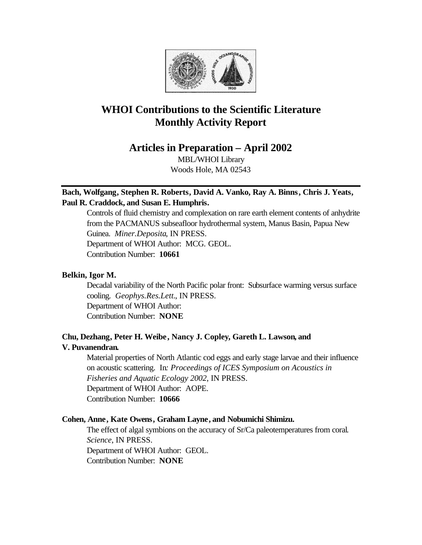

# **WHOI Contributions to the Scientific Literature Monthly Activity Report**

**Articles in Preparation – April 2002**

MBL/WHOI Library Woods Hole, MA 02543

# **Bach, Wolfgang, Stephen R. Roberts, David A. Vanko, Ray A. Binns, Chris J. Yeats, Paul R. Craddock, and Susan E. Humphris.**

Controls of fluid chemistry and complexation on rare earth element contents of anhydrite from the PACMANUS subseafloor hydrothermal system, Manus Basin, Papua New Guinea. *Miner.Deposita*, IN PRESS. Department of WHOI Author: MCG. GEOL. Contribution Number: **10661**

## **Belkin, Igor M.**

Decadal variability of the North Pacific polar front: Subsurface warming versus surface cooling. *Geophys.Res.Lett.*, IN PRESS. Department of WHOI Author: Contribution Number: **NONE**

# **Chu, Dezhang, Peter H. Weibe, Nancy J. Copley, Gareth L. Lawson, and V. Puvanendran.**

Material properties of North Atlantic cod eggs and early stage larvae and their influence on acoustic scattering. In*: Proceedings of ICES Symposium on Acoustics in Fisheries and Aquatic Ecology 2002*, IN PRESS. Department of WHOI Author: AOPE. Contribution Number: **10666**

## **Cohen, Anne, Kate Owens, Graham Layne, and Nobumichi Shimizu.**

The effect of algal symbions on the accuracy of Sr/Ca paleotemperatures from coral. *Science*, IN PRESS. Department of WHOI Author: GEOL. Contribution Number: **NONE**